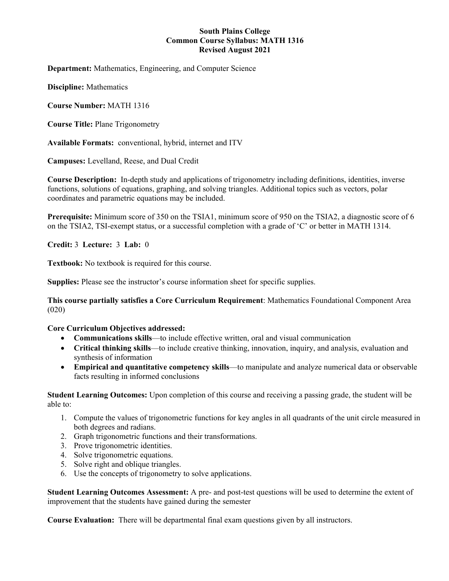### **South Plains College Common Course Syllabus: MATH 1316 Revised August 2021**

**Department:** Mathematics, Engineering, and Computer Science

**Discipline:** Mathematics

**Course Number:** MATH 1316

**Course Title:** Plane Trigonometry

**Available Formats:** conventional, hybrid, internet and ITV

**Campuses:** Levelland, Reese, and Dual Credit

**Course Description:** In-depth study and applications of trigonometry including definitions, identities, inverse functions, solutions of equations, graphing, and solving triangles. Additional topics such as vectors, polar coordinates and parametric equations may be included.

**Prerequisite:** Minimum score of 350 on the TSIA1, minimum score of 950 on the TSIA2, a diagnostic score of 6 on the TSIA2, TSI-exempt status, or a successful completion with a grade of 'C' or better in MATH 1314.

**Credit:** 3 **Lecture:** 3 **Lab:** 0

**Textbook:** No textbook is required for this course.

**Supplies:** Please see the instructor's course information sheet for specific supplies.

**This course partially satisfies a Core Curriculum Requirement**: Mathematics Foundational Component Area (020)

#### **Core Curriculum Objectives addressed:**

- **Communications skills**—to include effective written, oral and visual communication
- **Critical thinking skills**—to include creative thinking, innovation, inquiry, and analysis, evaluation and synthesis of information
- **Empirical and quantitative competency skills**—to manipulate and analyze numerical data or observable facts resulting in informed conclusions

**Student Learning Outcomes:** Upon completion of this course and receiving a passing grade, the student will be able to:

- 1. Compute the values of trigonometric functions for key angles in all quadrants of the unit circle measured in both degrees and radians.
- 2. Graph trigonometric functions and their transformations.
- 3. Prove trigonometric identities.
- 4. Solve trigonometric equations.
- 5. Solve right and oblique triangles.
- 6. Use the concepts of trigonometry to solve applications.

**Student Learning Outcomes Assessment:** A pre- and post-test questions will be used to determine the extent of improvement that the students have gained during the semester

**Course Evaluation:** There will be departmental final exam questions given by all instructors.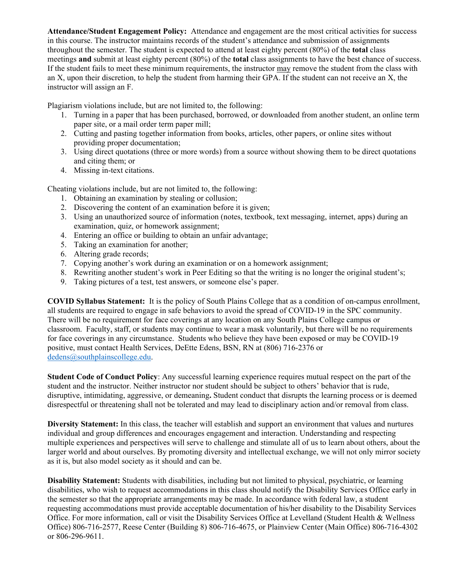**Attendance/Student Engagement Policy:** Attendance and engagement are the most critical activities for success in this course. The instructor maintains records of the student's attendance and submission of assignments throughout the semester. The student is expected to attend at least eighty percent (80%) of the **total** class meetings **and** submit at least eighty percent (80%) of the **total** class assignments to have the best chance of success. If the student fails to meet these minimum requirements, the instructor may remove the student from the class with an X, upon their discretion, to help the student from harming their GPA. If the student can not receive an X, the instructor will assign an F.

Plagiarism violations include, but are not limited to, the following:

- 1. Turning in a paper that has been purchased, borrowed, or downloaded from another student, an online term paper site, or a mail order term paper mill;
- 2. Cutting and pasting together information from books, articles, other papers, or online sites without providing proper documentation;
- 3. Using direct quotations (three or more words) from a source without showing them to be direct quotations and citing them; or
- 4. Missing in-text citations.

Cheating violations include, but are not limited to, the following:

- 1. Obtaining an examination by stealing or collusion;
- 2. Discovering the content of an examination before it is given;
- 3. Using an unauthorized source of information (notes, textbook, text messaging, internet, apps) during an examination, quiz, or homework assignment;
- 4. Entering an office or building to obtain an unfair advantage;
- 5. Taking an examination for another;
- 6. Altering grade records;
- 7. Copying another's work during an examination or on a homework assignment;
- 8. Rewriting another student's work in Peer Editing so that the writing is no longer the original student's;
- 9. Taking pictures of a test, test answers, or someone else's paper.

**COVID Syllabus Statement:** It is the policy of South Plains College that as a condition of on-campus enrollment, all students are required to engage in safe behaviors to avoid the spread of COVID-19 in the SPC community. There will be no requirement for face coverings at any location on any South Plains College campus or classroom. Faculty, staff, or students may continue to wear a mask voluntarily, but there will be no requirements for face coverings in any circumstance. Students who believe they have been exposed or may be COVID-19 positive, must contact Health Services, DeEtte Edens, BSN, RN at (806) 716-2376 or [dedens@southplainscollege.edu.](mailto:dedens@southplainscollege.edu)

**Student Code of Conduct Policy**: Any successful learning experience requires mutual respect on the part of the student and the instructor. Neither instructor nor student should be subject to others' behavior that is rude, disruptive, intimidating, aggressive, or demeaning**.** Student conduct that disrupts the learning process or is deemed disrespectful or threatening shall not be tolerated and may lead to disciplinary action and/or removal from class.

**Diversity Statement:** In this class, the teacher will establish and support an environment that values and nurtures individual and group differences and encourages engagement and interaction. Understanding and respecting multiple experiences and perspectives will serve to challenge and stimulate all of us to learn about others, about the larger world and about ourselves. By promoting diversity and intellectual exchange, we will not only mirror society as it is, but also model society as it should and can be.

**Disability Statement:** Students with disabilities, including but not limited to physical, psychiatric, or learning disabilities, who wish to request accommodations in this class should notify the Disability Services Office early in the semester so that the appropriate arrangements may be made. In accordance with federal law, a student requesting accommodations must provide acceptable documentation of his/her disability to the Disability Services Office. For more information, call or visit the Disability Services Office at Levelland (Student Health & Wellness Office) 806-716-2577, Reese Center (Building 8) 806-716-4675, or Plainview Center (Main Office) 806-716-4302 or 806-296-9611.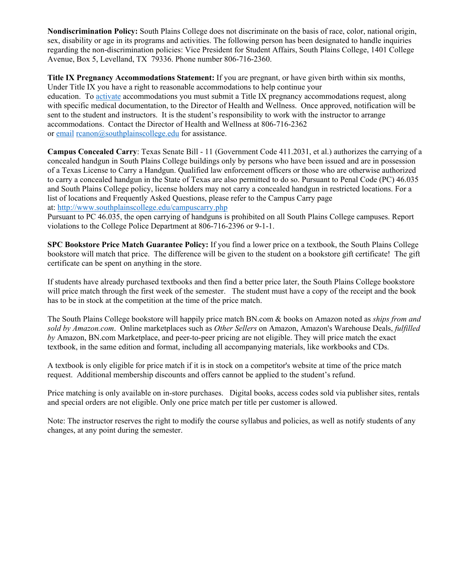**Nondiscrimination Policy:** South Plains College does not discriminate on the basis of race, color, national origin, sex, disability or age in its programs and activities. The following person has been designated to handle inquiries regarding the non-discrimination policies: Vice President for Student Affairs, South Plains College, 1401 College Avenue, Box 5, Levelland, TX 79336. Phone number 806-716-2360.

**Title IX Pregnancy Accommodations Statement:** If you are pregnant, or have given birth within six months, Under Title IX you have a right to reasonable accommodations to help continue your education. To [activate](http://www.southplainscollege.edu/employees/manualshandbooks/facultyhandbook/sec4.php) accommodations you must submit a Title IX pregnancy accommodations request, along with specific medical documentation, to the Director of Health and Wellness. Once approved, notification will be sent to the student and instructors. It is the student's responsibility to work with the instructor to arrange accommodations. Contact the Director of Health and Wellness at 806-716-2362 or [email](http://www.southplainscollege.edu/employees/manualshandbooks/facultyhandbook/sec4.php) reanon@southplainscollege.edu for assistance.

**Campus Concealed Carry**: Texas Senate Bill - 11 (Government Code 411.2031, et al.) authorizes the carrying of a concealed handgun in South Plains College buildings only by persons who have been issued and are in possession of a Texas License to Carry a Handgun. Qualified law enforcement officers or those who are otherwise authorized to carry a concealed handgun in the State of Texas are also permitted to do so. Pursuant to Penal Code (PC) 46.035 and South Plains College policy, license holders may not carry a concealed handgun in restricted locations. For a list of locations and Frequently Asked Questions, please refer to the Campus Carry page at: <http://www.southplainscollege.edu/campuscarry.php>

Pursuant to PC 46.035, the open carrying of handguns is prohibited on all South Plains College campuses. Report violations to the College Police Department at 806-716-2396 or 9-1-1.

**SPC Bookstore Price Match Guarantee Policy:** If you find a lower price on a textbook, the South Plains College bookstore will match that price. The difference will be given to the student on a bookstore gift certificate! The gift certificate can be spent on anything in the store.

If students have already purchased textbooks and then find a better price later, the South Plains College bookstore will price match through the first week of the semester. The student must have a copy of the receipt and the book has to be in stock at the competition at the time of the price match.

The South Plains College bookstore will happily price match BN.com & books on Amazon noted as *ships from and sold by Amazon.com*. Online marketplaces such as *Other Sellers* on Amazon, Amazon's Warehouse Deals, *fulfilled by* Amazon, BN.com Marketplace, and peer-to-peer pricing are not eligible. They will price match the exact textbook, in the same edition and format, including all accompanying materials, like workbooks and CDs.

A textbook is only eligible for price match if it is in stock on a competitor's website at time of the price match request. Additional membership discounts and offers cannot be applied to the student's refund.

Price matching is only available on in-store purchases. Digital books, access codes sold via publisher sites, rentals and special orders are not eligible. Only one price match per title per customer is allowed.

Note: The instructor reserves the right to modify the course syllabus and policies, as well as notify students of any changes, at any point during the semester.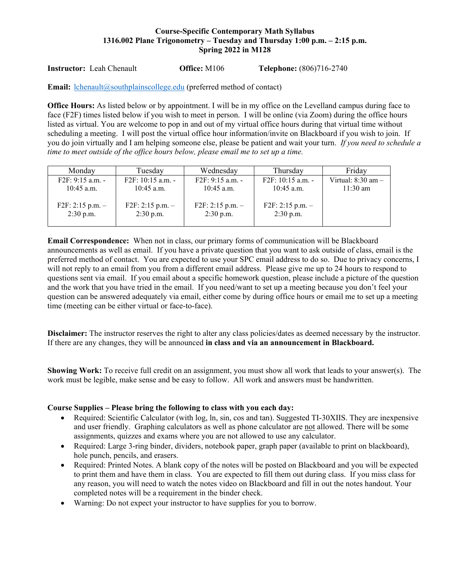# **Course-Specific Contemporary Math Syllabus 1316.002 Plane Trigonometry – Tuesday and Thursday 1:00 p.m. – 2:15 p.m. Spring 2022 in M128**

**Instructor:** Leah Chenault **Office:** M106 **Telephone:** (806)716-2740

**Email:** [lchenault@southplainscollege.edu](mailto:lchenault@southplainscollege.edu) (preferred method of contact)

**Office Hours:** As listed below or by appointment. I will be in my office on the Levelland campus during face to face (F2F) times listed below if you wish to meet in person. I will be online (via Zoom) during the office hours listed as virtual. You are welcome to pop in and out of my virtual office hours during that virtual time without scheduling a meeting. I will post the virtual office hour information/invite on Blackboard if you wish to join. If you do join virtually and I am helping someone else, please be patient and wait your turn. *If you need to schedule a time to meet outside of the office hours below, please email me to set up a time.* 

| Monday                            | Tuesday                           | Wednesday                         | Thursday                          | Friday                 |
|-----------------------------------|-----------------------------------|-----------------------------------|-----------------------------------|------------------------|
| F2F: 9:15 a.m. -                  | F2F: 10:15 a.m. -                 | F2F: 9:15 a.m. -                  | F2F: 10:15 a.m. -                 | Virtual: $8:30$ am $-$ |
| $10:45$ a.m.                      | $10:45$ a.m.                      | $10:45$ a.m.                      | $10:45$ a.m.                      | $11:30$ am             |
| $F2F: 2:15 p.m. -$<br>$2:30$ p.m. | $F2F: 2:15 p.m. -$<br>$2:30$ p.m. | $F2F: 2:15 p.m. -$<br>$2:30$ p.m. | $F2F: 2:15 p.m. -$<br>$2:30$ p.m. |                        |

**Email Correspondence:** When not in class, our primary forms of communication will be Blackboard announcements as well as email. If you have a private question that you want to ask outside of class, email is the preferred method of contact. You are expected to use your SPC email address to do so. Due to privacy concerns, I will not reply to an email from you from a different email address. Please give me up to 24 hours to respond to questions sent via email. If you email about a specific homework question, please include a picture of the question and the work that you have tried in the email. If you need/want to set up a meeting because you don't feel your question can be answered adequately via email, either come by during office hours or email me to set up a meeting time (meeting can be either virtual or face-to-face).

**Disclaimer:** The instructor reserves the right to alter any class policies/dates as deemed necessary by the instructor. If there are any changes, they will be announced **in class and via an announcement in Blackboard.** 

**Showing Work:** To receive full credit on an assignment, you must show all work that leads to your answer(s). The work must be legible, make sense and be easy to follow. All work and answers must be handwritten.

### **Course Supplies – Please bring the following to class with you each day:**

- Required: Scientific Calculator (with log, ln, sin, cos and tan). Suggested TI-30XIIS. They are inexpensive and user friendly. Graphing calculators as well as phone calculator are not allowed. There will be some assignments, quizzes and exams where you are not allowed to use any calculator.
- Required: Large 3-ring binder, dividers, notebook paper, graph paper (available to print on blackboard), hole punch, pencils, and erasers.
- Required: Printed Notes. A blank copy of the notes will be posted on Blackboard and you will be expected to print them and have them in class. You are expected to fill them out during class. If you miss class for any reason, you will need to watch the notes video on Blackboard and fill in out the notes handout. Your completed notes will be a requirement in the binder check.
- Warning: Do not expect your instructor to have supplies for you to borrow.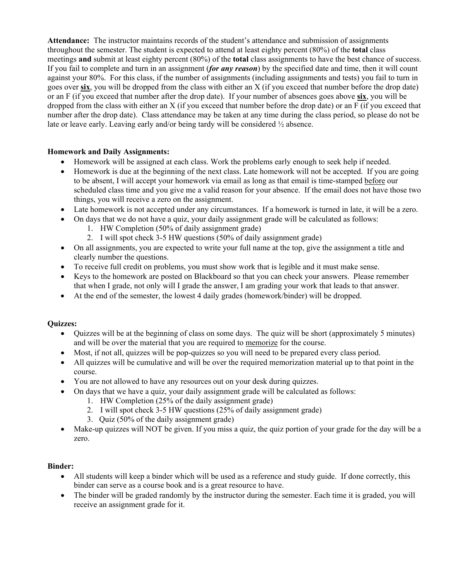**Attendance:** The instructor maintains records of the student's attendance and submission of assignments throughout the semester. The student is expected to attend at least eighty percent (80%) of the **total** class meetings **and** submit at least eighty percent (80%) of the **total** class assignments to have the best chance of success. If you fail to complete and turn in an assignment (*for any reason*) by the specified date and time, then it will count against your 80%. For this class, if the number of assignments (including assignments and tests) you fail to turn in goes over **six**, you will be dropped from the class with either an X (if you exceed that number before the drop date) or an F (if you exceed that number after the drop date). If your number of absences goes above **six**, you will be dropped from the class with either an X (if you exceed that number before the drop date) or an F (if you exceed that number after the drop date). Class attendance may be taken at any time during the class period, so please do not be late or leave early. Leaving early and/or being tardy will be considered ½ absence.

# **Homework and Daily Assignments:**

- Homework will be assigned at each class. Work the problems early enough to seek help if needed.
- Homework is due at the beginning of the next class. Late homework will not be accepted. If you are going to be absent, I will accept your homework via email as long as that email is time-stamped before our scheduled class time and you give me a valid reason for your absence. If the email does not have those two things, you will receive a zero on the assignment.
- Late homework is not accepted under any circumstances. If a homework is turned in late, it will be a zero.
- On days that we do not have a quiz, your daily assignment grade will be calculated as follows:
	- 1. HW Completion (50% of daily assignment grade)
	- 2. I will spot check 3-5 HW questions (50% of daily assignment grade)
- On all assignments, you are expected to write your full name at the top, give the assignment a title and clearly number the questions.
- To receive full credit on problems, you must show work that is legible and it must make sense.
- Keys to the homework are posted on Blackboard so that you can check your answers. Please remember that when I grade, not only will I grade the answer, I am grading your work that leads to that answer.
- At the end of the semester, the lowest 4 daily grades (homework/binder) will be dropped.

# **Quizzes:**

- Quizzes will be at the beginning of class on some days. The quiz will be short (approximately 5 minutes) and will be over the material that you are required to memorize for the course.
- Most, if not all, quizzes will be pop-quizzes so you will need to be prepared every class period.
- All quizzes will be cumulative and will be over the required memorization material up to that point in the course.
- You are not allowed to have any resources out on your desk during quizzes.
- On days that we have a quiz, your daily assignment grade will be calculated as follows:
	- 1. HW Completion (25% of the daily assignment grade)
	- 2. I will spot check 3-5 HW questions (25% of daily assignment grade)
	- 3. Quiz (50% of the daily assignment grade)
- Make-up quizzes will NOT be given. If you miss a quiz, the quiz portion of your grade for the day will be a zero.

# **Binder:**

- All students will keep a binder which will be used as a reference and study guide. If done correctly, this binder can serve as a course book and is a great resource to have.
- The binder will be graded randomly by the instructor during the semester. Each time it is graded, you will receive an assignment grade for it.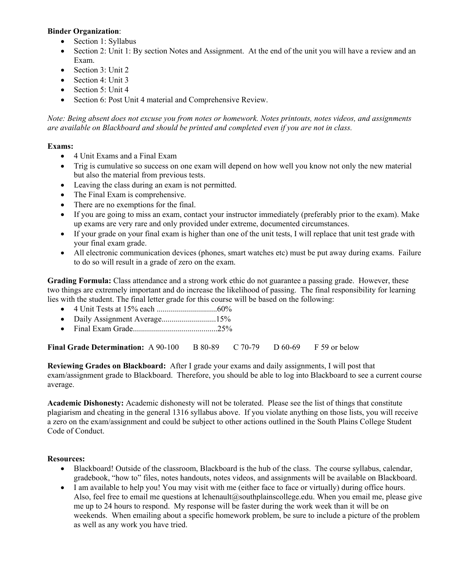## **Binder Organization**:

- Section 1: Syllabus
- Section 2: Unit 1: By section Notes and Assignment. At the end of the unit you will have a review and an Exam.
- Section 3: Unit 2
- Section 4: Unit 3
- Section 5: Unit 4
- Section 6: Post Unit 4 material and Comprehensive Review.

*Note: Being absent does not excuse you from notes or homework. Notes printouts, notes videos, and assignments are available on Blackboard and should be printed and completed even if you are not in class.* 

# **Exams:**

- 4 Unit Exams and a Final Exam
- Trig is cumulative so success on one exam will depend on how well you know not only the new material but also the material from previous tests.
- Leaving the class during an exam is not permitted.
- The Final Exam is comprehensive.
- There are no exemptions for the final.
- If you are going to miss an exam, contact your instructor immediately (preferably prior to the exam). Make up exams are very rare and only provided under extreme, documented circumstances.
- If your grade on your final exam is higher than one of the unit tests, I will replace that unit test grade with your final exam grade.
- All electronic communication devices (phones, smart watches etc) must be put away during exams. Failure to do so will result in a grade of zero on the exam.

**Grading Formula:** Class attendance and a strong work ethic do not guarantee a passing grade. However, these two things are extremely important and do increase the likelihood of passing. The final responsibility for learning lies with the student. The final letter grade for this course will be based on the following:

- 4 Unit Tests at 15% each ..............................60%
- Daily Assignment Average...............................15%
- Final Exam Grade..........................................25%

**Final Grade Determination:** A 90-100 B 80-89 C 70-79 D 60-69 F 59 or below

**Reviewing Grades on Blackboard:** After I grade your exams and daily assignments, I will post that exam/assignment grade to Blackboard. Therefore, you should be able to log into Blackboard to see a current course average.

**Academic Dishonesty:** Academic dishonesty will not be tolerated. Please see the list of things that constitute plagiarism and cheating in the general 1316 syllabus above. If you violate anything on those lists, you will receive a zero on the exam/assignment and could be subject to other actions outlined in the South Plains College Student Code of Conduct.

# **Resources:**

- Blackboard! Outside of the classroom, Blackboard is the hub of the class. The course syllabus, calendar, gradebook, "how to" files, notes handouts, notes videos, and assignments will be available on Blackboard.
- I am available to help you! You may visit with me (either face to face or virtually) during office hours. Also, feel free to email me questions at lchenault@southplainscollege.edu. When you email me, please give me up to 24 hours to respond. My response will be faster during the work week than it will be on weekends. When emailing about a specific homework problem, be sure to include a picture of the problem as well as any work you have tried.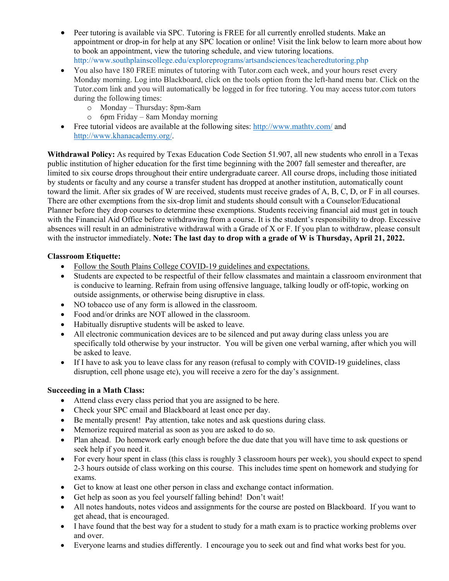- Peer tutoring is available via SPC. Tutoring is FREE for all currently enrolled students. Make an appointment or drop-in for help at any SPC location or online! Visit the link below to learn more about how to book an appointment, view the tutoring schedule, and view tutoring locations. http://www.southplainscollege.edu/exploreprograms/artsandsciences/teacheredtutoring.php
- You also have 180 FREE minutes of tutoring with Tutor.com each week, and your hours reset every Monday morning. Log into Blackboard, click on the tools option from the left-hand menu bar. Click on the Tutor.com link and you will automatically be logged in for free tutoring. You may access tutor.com tutors during the following times:
	- o Monday Thursday: 8pm-8am
	- o 6pm Friday 8am Monday morning
- Free tutorial videos are available at the following sites:<http://www.mathtv.com/> and [http://www.khanacademy.org/.](http://www.khanacademy.org/)

**Withdrawal Policy:** As required by Texas Education Code Section 51.907, all new students who enroll in a Texas public institution of higher education for the first time beginning with the 2007 fall semester and thereafter, are limited to six course drops throughout their entire undergraduate career. All course drops, including those initiated by students or faculty and any course a transfer student has dropped at another institution, automatically count toward the limit. After six grades of W are received, students must receive grades of A, B, C, D, or F in all courses. There are other exemptions from the six-drop limit and students should consult with a Counselor/Educational Planner before they drop courses to determine these exemptions. Students receiving financial aid must get in touch with the Financial Aid Office before withdrawing from a course. It is the student's responsibility to drop. Excessive absences will result in an administrative withdrawal with a Grade of X or F. If you plan to withdraw, please consult with the instructor immediately. **Note: The last day to drop with a grade of W is Thursday, April 21, 2022.** 

# **Classroom Etiquette:**

- Follow the South Plains College COVID-19 guidelines and expectations.
- Students are expected to be respectful of their fellow classmates and maintain a classroom environment that is conducive to learning. Refrain from using offensive language, talking loudly or off-topic, working on outside assignments, or otherwise being disruptive in class.
- NO tobacco use of any form is allowed in the classroom.
- Food and/or drinks are NOT allowed in the classroom.
- Habitually disruptive students will be asked to leave.
- All electronic communication devices are to be silenced and put away during class unless you are specifically told otherwise by your instructor. You will be given one verbal warning, after which you will be asked to leave.
- If I have to ask you to leave class for any reason (refusal to comply with COVID-19 guidelines, class disruption, cell phone usage etc), you will receive a zero for the day's assignment.

# **Succeeding in a Math Class:**

- Attend class every class period that you are assigned to be here.
- Check your SPC email and Blackboard at least once per day.
- Be mentally present! Pay attention, take notes and ask questions during class.
- Memorize required material as soon as you are asked to do so.
- Plan ahead. Do homework early enough before the due date that you will have time to ask questions or seek help if you need it.
- For every hour spent in class (this class is roughly 3 classroom hours per week), you should expect to spend 2-3 hours outside of class working on this course. This includes time spent on homework and studying for exams.
- Get to know at least one other person in class and exchange contact information.
- Get help as soon as you feel yourself falling behind! Don't wait!
- All notes handouts, notes videos and assignments for the course are posted on Blackboard. If you want to get ahead, that is encouraged.
- I have found that the best way for a student to study for a math exam is to practice working problems over and over.
- Everyone learns and studies differently. I encourage you to seek out and find what works best for you.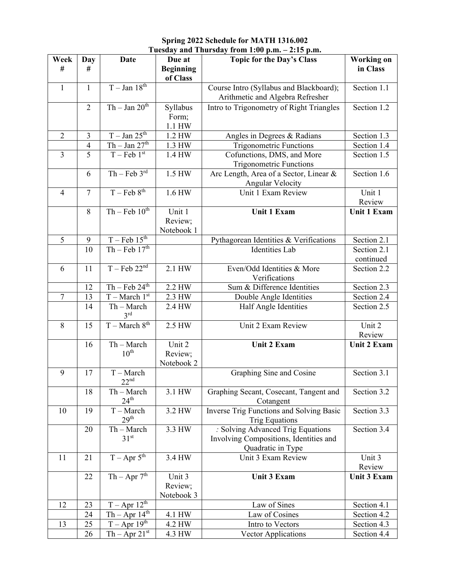### **Spring 2022 Schedule for MATH 1316.002 Tuesday and Thursday from 1:00 p.m. – 2:15 p.m.**

| Week           | Day            | Date                             | Due at                          | <b>Topic for the Day's Class</b>                                                                 | <b>Working on</b>        |
|----------------|----------------|----------------------------------|---------------------------------|--------------------------------------------------------------------------------------------------|--------------------------|
| #              | #              |                                  | <b>Beginning</b><br>of Class    |                                                                                                  | in Class                 |
| $\mathbf{1}$   | $\mathbf{1}$   | $T - Jan$ 18 <sup>th</sup>       |                                 | Course Intro (Syllabus and Blackboard);<br>Arithmetic and Algebra Refresher                      | Section 1.1              |
|                | 2              | $Th - Jan 20th$                  | Syllabus<br>Form;<br>1.1 HW     | Intro to Trigonometry of Right Triangles                                                         | Section 1.2              |
| $\overline{2}$ | $\overline{3}$ | $T - Jan$ $25th$                 | 1.2 HW                          | Angles in Degrees & Radians                                                                      | Section 1.3              |
|                | $\overline{4}$ | $Th - Jan 27th$                  | 1.3 HW                          | <b>Trigonometric Functions</b>                                                                   | Section 1.4              |
| $\overline{3}$ | $\overline{5}$ | $T - Feb 1st$                    | 1.4 HW                          | Cofunctions, DMS, and More<br><b>Trigonometric Functions</b>                                     | Section 1.5              |
|                | 6              | $Th - Feb 3rd$                   | 1.5 HW                          | Arc Length, Area of a Sector, Linear &<br>Angular Velocity                                       | Section 1.6              |
| $\overline{4}$ | $\overline{7}$ | $T - Feb 8th$                    | 1.6 HW                          | Unit 1 Exam Review                                                                               | Unit 1<br>Review         |
|                | 8              | $Th - Feb 10th$                  | Unit 1<br>Review;<br>Notebook 1 | <b>Unit 1 Exam</b>                                                                               | <b>Unit 1 Exam</b>       |
| 5              | 9              | $T - Feb$ 15 <sup>th</sup>       |                                 | Pythagorean Identities & Verifications                                                           | Section 2.1              |
|                | 10             | $Th - Feb 17th$                  |                                 | <b>Identities</b> Lab                                                                            | Section 2.1<br>continued |
| 6              | 11             | $T - \overline{Feb} 22^{nd}$     | 2.1 HW                          | Even/Odd Identities & More<br>Verifications                                                      | Section 2.2              |
|                | 12             | $Th - Feb 24th$                  | 2.2 HW                          | Sum & Difference Identities                                                                      | Section 2.3              |
| $\tau$         | 13             | $T-March 1st$                    | 2.3 HW                          | Double Angle Identities                                                                          | Section 2.4              |
|                | 14             | $Th - March$<br>3 <sup>rd</sup>  | 2.4 HW                          | Half Angle Identities                                                                            | Section 2.5              |
| 8              | 15             | $T-March 8th$                    | 2.5 HW                          | Unit 2 Exam Review                                                                               | Unit 2<br>Review         |
|                | 16             | $Th - March$<br>$10^{\text{th}}$ | Unit 2<br>Review;<br>Notebook 2 | Unit 2 Exam                                                                                      | <b>Unit 2 Exam</b>       |
| 9              | 17             | $T - March$<br>22 <sup>nd</sup>  |                                 | Graphing Sine and Cosine                                                                         | Section 3.1              |
|                | 18             | Th - March<br>$24^{\text{th}}$   | 3.1 HW                          | Graphing Secant, Cosecant, Tangent and<br>Cotangent                                              | Section 3.2              |
| 10             | 19             | $T - March$<br>29 <sup>th</sup>  | 3.2 HW                          | Inverse Trig Functions and Solving Basic<br><b>Trig Equations</b>                                | Section 3.3              |
|                | 20             | Th - March<br>31 <sup>st</sup>   | 3.3 HW                          | : Solving Advanced Trig Equations<br>Involving Compositions, Identities and<br>Quadratic in Type | Section 3.4              |
| 11             | 21             | $T - Apr 5th$                    | 3.4 HW                          | Unit 3 Exam Review                                                                               | Unit 3<br>Review         |
|                | 22             | $Th - Apr 7th$                   | Unit 3<br>Review;<br>Notebook 3 | Unit 3 Exam                                                                                      | Unit 3 Exam              |
| 12             | 23             | $T - Apr \ 12^{th}$              |                                 | Law of Sines                                                                                     | Section 4.1              |
|                | 24             | $Th - Apr 14th$                  | 4.1 HW                          | Law of Cosines                                                                                   | Section 4.2              |
| 13             | 25             | $T - Apr \overline{19^{th}}$     | 4.2 HW                          | Intro to Vectors                                                                                 | Section 4.3              |
|                | 26             | $Th - Apr 21st$                  | 4.3 HW                          | <b>Vector Applications</b>                                                                       | Section 4.4              |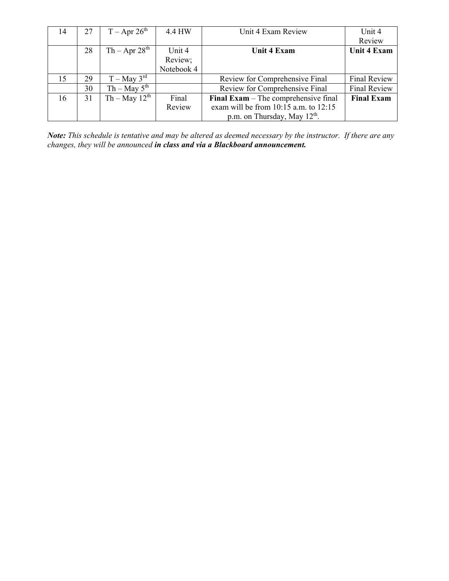| 14 | 27 | $T -$ Apr 26 <sup>th</sup> | 4.4 HW     | Unit 4 Exam Review                        | Unit 4              |
|----|----|----------------------------|------------|-------------------------------------------|---------------------|
|    |    |                            |            |                                           | Review              |
|    | 28 | $Th - Apr 28th$            | Unit 4     | <b>Unit 4 Exam</b>                        | Unit 4 Exam         |
|    |    |                            | Review;    |                                           |                     |
|    |    |                            | Notebook 4 |                                           |                     |
| 15 | 29 | $T - May 3rd$              |            | Review for Comprehensive Final            | <b>Final Review</b> |
|    | 30 | $Th - May 5th$             |            | Review for Comprehensive Final            | <b>Final Review</b> |
| 16 | 31 | $Th - May 12th$            | Final      | Final Exam - The comprehensive final      | <b>Final Exam</b>   |
|    |    |                            | Review     | exam will be from $10:15$ a.m. to $12:15$ |                     |
|    |    |                            |            | p.m. on Thursday, May $12^{th}$ .         |                     |

*Note: This schedule is tentative and may be altered as deemed necessary by the instructor. If there are any changes, they will be announced in class and via a Blackboard announcement.*